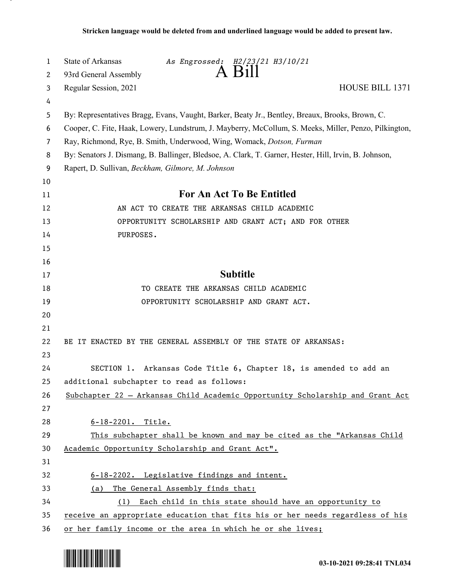| 1  | State of Arkansas<br>As Engrossed: H2/23/21 H3/10/21                                                  |
|----|-------------------------------------------------------------------------------------------------------|
| 2  | A Bill<br>93rd General Assembly                                                                       |
| 3  | HOUSE BILL 1371<br>Regular Session, 2021                                                              |
| 4  |                                                                                                       |
| 5  | By: Representatives Bragg, Evans, Vaught, Barker, Beaty Jr., Bentley, Breaux, Brooks, Brown, C.       |
| 6  | Cooper, C. Fite, Haak, Lowery, Lundstrum, J. Mayberry, McCollum, S. Meeks, Miller, Penzo, Pilkington, |
| 7  | Ray, Richmond, Rye, B. Smith, Underwood, Wing, Womack, Dotson, Furman                                 |
| 8  | By: Senators J. Dismang, B. Ballinger, Bledsoe, A. Clark, T. Garner, Hester, Hill, Irvin, B. Johnson, |
| 9  | Rapert, D. Sullivan, Beckham, Gilmore, M. Johnson                                                     |
| 10 |                                                                                                       |
| 11 | For An Act To Be Entitled                                                                             |
| 12 | AN ACT TO CREATE THE ARKANSAS CHILD ACADEMIC                                                          |
| 13 | OPPORTUNITY SCHOLARSHIP AND GRANT ACT; AND FOR OTHER                                                  |
| 14 | PURPOSES.                                                                                             |
| 15 |                                                                                                       |
| 16 |                                                                                                       |
| 17 | <b>Subtitle</b>                                                                                       |
| 18 | TO CREATE THE ARKANSAS CHILD ACADEMIC                                                                 |
| 19 | OPPORTUNITY SCHOLARSHIP AND GRANT ACT.                                                                |
| 20 |                                                                                                       |
| 21 |                                                                                                       |
| 22 | BE IT ENACTED BY THE GENERAL ASSEMBLY OF THE STATE OF ARKANSAS:                                       |
| 23 |                                                                                                       |
| 24 | SECTION 1. Arkansas Code Title 6, Chapter 18, is amended to add an                                    |
| 25 | additional subchapter to read as follows:                                                             |
| 26 | Subchapter 22 - Arkansas Child Academic Opportunity Scholarship and Grant Act                         |
| 27 |                                                                                                       |
| 28 | 6-18-2201. Title.                                                                                     |
| 29 | This subchapter shall be known and may be cited as the "Arkansas Child                                |
| 30 | Academic Opportunity Scholarship and Grant Act".                                                      |
| 31 |                                                                                                       |
| 32 | 6-18-2202. Legislative findings and intent.                                                           |
| 33 | The General Assembly finds that:<br>(a)                                                               |
| 34 | Each child in this state should have an opportunity to<br>(1)                                         |
| 35 | receive an appropriate education that fits his or her needs regardless of his                         |
| 36 | or her family income or the area in which he or she lives;                                            |

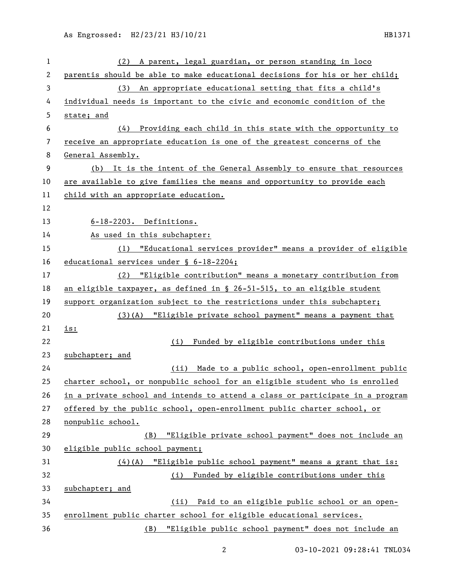| 1  | A parent, legal guardian, or person standing in loco<br>(2)                   |
|----|-------------------------------------------------------------------------------|
| 2  | parentis should be able to make educational decisions for his or her child;   |
| 3  | (3) An appropriate educational setting that fits a child's                    |
| 4  | individual needs is important to the civic and economic condition of the      |
| 5  | state; and                                                                    |
| 6  | Providing each child in this state with the opportunity to<br>(4)             |
| 7  | receive an appropriate education is one of the greatest concerns of the       |
| 8  | General Assembly.                                                             |
| 9  | (b) It is the intent of the General Assembly to ensure that resources         |
| 10 | are available to give families the means and opportunity to provide each      |
| 11 | child with an appropriate education.                                          |
| 12 |                                                                               |
| 13 | 6-18-2203. Definitions.                                                       |
| 14 | As used in this subchapter:                                                   |
| 15 | (1) "Educational services provider" means a provider of eligible              |
| 16 | educational services under § 6-18-2204;                                       |
| 17 | (2) "Eligible contribution" means a monetary contribution from                |
| 18 | an eligible taxpayer, as defined in § 26-51-515, to an eligible student       |
| 19 | support organization subject to the restrictions under this subchapter;       |
| 20 | (3)(A) "Eligible private school payment" means a payment that                 |
| 21 | <u>is:</u>                                                                    |
| 22 | (i) Funded by eligible contributions under this                               |
| 23 | subchapter; and                                                               |
| 24 | (ii) Made to a public school, open-enrollment public                          |
| 25 | charter school, or nonpublic school for an eligible student who is enrolled   |
| 26 | in a private school and intends to attend a class or participate in a program |
| 27 | offered by the public school, open-enrollment public charter school, or       |
| 28 | nonpublic school.                                                             |
| 29 | "Eligible private school payment" does not include an<br>(B)                  |
| 30 | eligible public school payment;                                               |
| 31 | $(4)$ (A) "Eligible public school payment" means a grant that is:             |
| 32 | (i) Funded by eligible contributions under this                               |
| 33 | subchapter; and                                                               |
| 34 | (ii) Paid to an eligible public school or an open-                            |
| 35 | enrollment public charter school for eligible educational services.           |
| 36 | (B) "Eligible public school payment" does not include an                      |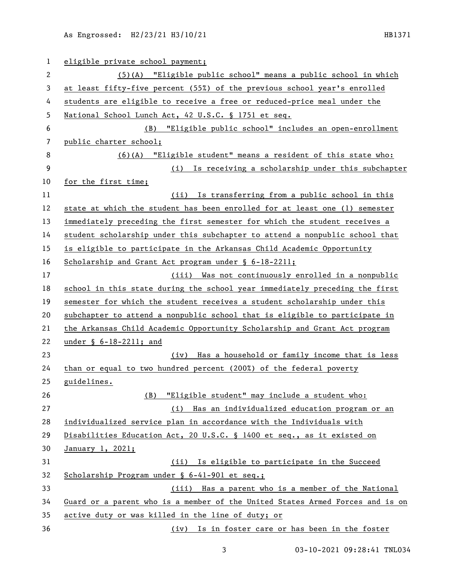| 1              | eligible private school payment;                                              |
|----------------|-------------------------------------------------------------------------------|
| 2              | (5)(A) "Eligible public school" means a public school in which                |
| 3              | at least fifty-five percent (55%) of the previous school year's enrolled      |
| 4              | students are eligible to receive a free or reduced-price meal under the       |
| 5              | National School Lunch Act, 42 U.S.C. § 1751 et seq.                           |
| 6              | "Eligible public school" includes an open-enrollment<br>(B)                   |
| $\overline{7}$ | public charter school;                                                        |
| 8              | $(6)(A)$ "Eligible student" means a resident of this state who:               |
| 9              | (i) Is receiving a scholarship under this subchapter                          |
| 10             | for the first time;                                                           |
| 11             | (ii) Is transferring from a public school in this                             |
| 12             | state at which the student has been enrolled for at least one (1) semester    |
| 13             | immediately preceding the first semester for which the student receives a     |
| 14             | student scholarship under this subchapter to attend a nonpublic school that   |
| 15             | is eligible to participate in the Arkansas Child Academic Opportunity         |
| 16             | Scholarship and Grant Act program under § 6-18-2211;                          |
| 17             | (iii) Was not continuously enrolled in a nonpublic                            |
| 18             | school in this state during the school year immediately preceding the first   |
| 19             | semester for which the student receives a student scholarship under this      |
| 20             | subchapter to attend a nonpublic school that is eligible to participate in    |
| 21             | the Arkansas Child Academic Opportunity Scholarship and Grant Act program     |
| 22             | under § 6-18-2211; and                                                        |
| 23             | (iv) Has a household or family income that is less                            |
| 24             | than or equal to two hundred percent (200%) of the federal poverty            |
| 25             | guidelines.                                                                   |
| 26             | "Eligible student" may include a student who:<br>(B)                          |
| 27             | (i) Has an individualized education program or an                             |
| 28             | individualized service plan in accordance with the Individuals with           |
| 29             | Disabilities Education Act, 20 U.S.C. § 1400 et seq., as it existed on        |
| 30             | January 1, 2021;                                                              |
| 31             | Is eligible to participate in the Succeed<br>(ii)                             |
| 32             | Scholarship Program under § 6-41-901 et seq.;                                 |
| 33             | (iii) Has a parent who is a member of the National                            |
| 34             | Guard or a parent who is a member of the United States Armed Forces and is on |
| 35             | active duty or was killed in the line of duty; or                             |
| 36             | (iv) Is in foster care or has been in the foster                              |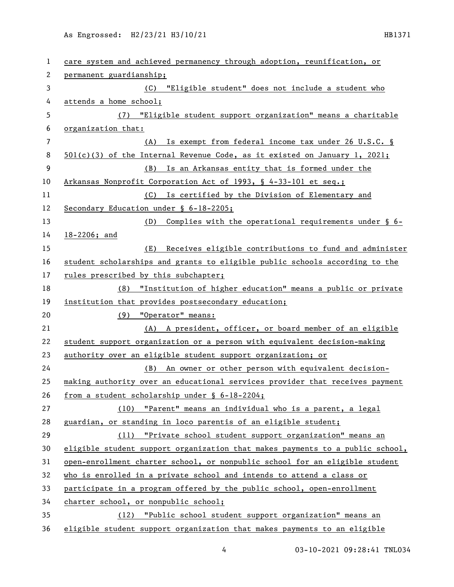| 1              | care system and achieved permanency through adoption, reunification, or       |
|----------------|-------------------------------------------------------------------------------|
| 2              | permanent guardianship;                                                       |
| 3              | (C) "Eligible student" does not include a student who                         |
| 4              | attends a home school;                                                        |
| 5              | "Eligible student support organization" means a charitable<br>(7)             |
| 6              | organization that:                                                            |
| $\overline{7}$ | Is exempt from federal income tax under 26 U.S.C. §<br>(A)                    |
| 8              | $501(c)(3)$ of the Internal Revenue Code, as it existed on January 1, 2021;   |
| 9              | Is an Arkansas entity that is formed under the<br>(B)                         |
| 10             | Arkansas Nonprofit Corporation Act of 1993, § 4-33-101 et seq.;               |
| 11             | Is certified by the Division of Elementary and<br>(C)                         |
| 12             | Secondary Education under § 6-18-2205;                                        |
| 13             | Complies with the operational requirements under § 6-<br>(D)                  |
| 14             | 18-2206; and                                                                  |
| 15             | Receives eligible contributions to fund and administer<br>(E)                 |
| 16             | student scholarships and grants to eligible public schools according to the   |
| 17             | rules prescribed by this subchapter;                                          |
| 18             | (8) "Institution of higher education" means a public or private               |
| 19             | institution that provides postsecondary education;                            |
| 20             | (9) "Operator" means:                                                         |
| 21             | (A) A president, officer, or board member of an eligible                      |
| 22             | student support organization or a person with equivalent decision-making      |
| 23             | authority over an eligible student support organization; or                   |
| 24             | (B) An owner or other person with equivalent decision-                        |
| 25             | making authority over an educational services provider that receives payment  |
| 26             | from a student scholarship under § 6-18-2204;                                 |
| 27             | (10) "Parent" means an individual who is a parent, a legal                    |
| 28             | guardian, or standing in loco parentis of an eligible student;                |
| 29             | (11) "Private school student support organization" means an                   |
| 30             | eligible student support organization that makes payments to a public school, |
| 31             | open-enrollment charter school, or nonpublic school for an eligible student   |
| 32             | who is enrolled in a private school and intends to attend a class or          |
| 33             | participate in a program offered by the public school, open-enrollment        |
| 34             | charter school, or nonpublic school;                                          |
| 35             | (12) "Public school student support organization" means an                    |
| 36             | eligible student support organization that makes payments to an eligible      |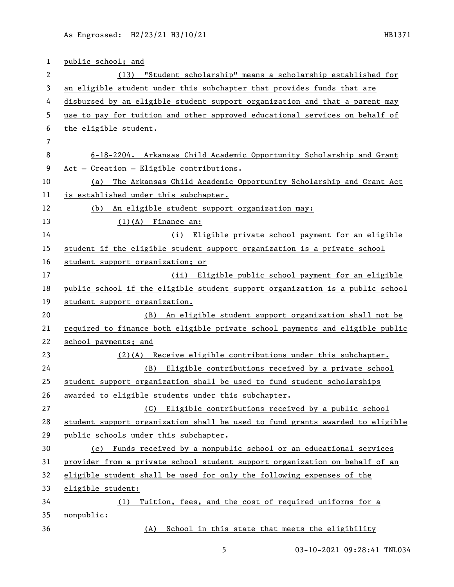| 1              | public school; and                                                            |
|----------------|-------------------------------------------------------------------------------|
| $\overline{2}$ | (13) "Student scholarship" means a scholarship established for                |
| 3              | an eligible student under this subchapter that provides funds that are        |
| 4              | disbursed by an eligible student support organization and that a parent may   |
| 5              | use to pay for tuition and other approved educational services on behalf of   |
| 6              | the eligible student.                                                         |
| $\overline{7}$ |                                                                               |
| 8              | 6-18-2204. Arkansas Child Academic Opportunity Scholarship and Grant          |
| 9              | Act - Creation - Eligible contributions.                                      |
| 10             | The Arkansas Child Academic Opportunity Scholarship and Grant Act<br>(a)      |
| 11             | is established under this subchapter.                                         |
| 12             | An eligible student support organization may:<br>(b)                          |
| 13             | $(1)(A)$ Finance an:                                                          |
| 14             | (i) Eligible private school payment for an eligible                           |
| 15             | student if the eligible student support organization is a private school      |
| 16             | student support organization; or                                              |
| 17             | (ii) Eligible public school payment for an eligible                           |
| 18             | public school if the eligible student support organization is a public school |
| 19             | student support organization.                                                 |
| 20             | An eligible student support organization shall not be<br>(B)                  |
| 21             | required to finance both eligible private school payments and eligible public |
| 22             | school payments; and                                                          |
| 23             | (2)(A) Receive eligible contributions under this subchapter.                  |
| 24             | Eligible contributions received by a private school<br>(B)                    |
| 25             | student support organization shall be used to fund student scholarships       |
| 26             | awarded to eligible students under this subchapter.                           |
| 27             | (C) Eligible contributions received by a public school                        |
| 28             | student support organization shall be used to fund grants awarded to eligible |
| 29             | public schools under this subchapter.                                         |
| 30             | (c) Funds received by a nonpublic school or an educational services           |
| 31             | provider from a private school student support organization on behalf of an   |
| 32             | eligible student shall be used for only the following expenses of the         |
| 33             | eligible student:                                                             |
| 34             | Tuition, fees, and the cost of required uniforms for a<br>(1)                 |
| 35             | nonpublic:                                                                    |
| 36             | School in this state that meets the eligibility<br>(A)                        |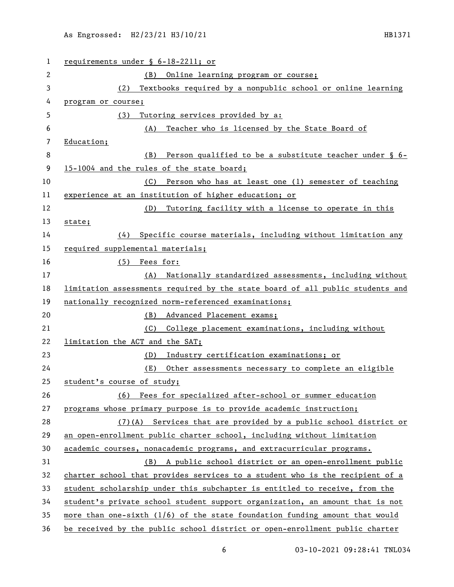| $\mathbf{1}$ | requirements under § 6-18-2211; or                                            |
|--------------|-------------------------------------------------------------------------------|
| 2            | (B)<br>Online learning program or course;                                     |
| 3            | Textbooks required by a nonpublic school or online learning<br>(2)            |
| 4            | program or course;                                                            |
| 5            | Tutoring services provided by a:<br>(3)                                       |
| 6            | Teacher who is licensed by the State Board of<br>(A)                          |
| 7            | Education;                                                                    |
| 8            | (B)<br>Person qualified to be a substitute teacher under § 6-                 |
| 9            | 15-1004 and the rules of the state board;                                     |
| 10           | Person who has at least one (1) semester of teaching<br>(C)                   |
| 11           | experience at an institution of higher education; or                          |
| 12           | (D)<br>Tutoring facility with a license to operate in this                    |
| 13           | state;                                                                        |
| 14           | Specific course materials, including without limitation any<br>(4)            |
| 15           | required supplemental materials;                                              |
| 16           | $(5)$ Fees for:                                                               |
| 17           | Nationally standardized assessments, including without<br>(A)                 |
| 18           | limitation assessments required by the state board of all public students and |
| 19           | nationally recognized norm-referenced examinations;                           |
| 20           | Advanced Placement exams;<br>(B)                                              |
| 21           | College placement examinations, including without<br>(C)                      |
| 22           | limitation the ACT and the SAT;                                               |
| 23           | Industry certification examinations; or<br>(D)                                |
| 24           | (E)<br>Other assessments necessary to complete an eligible                    |
| 25           | student's course of study;                                                    |
| 26           | (6) Fees for specialized after-school or summer education                     |
| 27           | programs whose primary purpose is to provide academic instruction;            |
| 28           | (7)(A) Services that are provided by a public school district or              |
| 29           | an open-enrollment public charter school, including without limitation        |
| 30           | academic courses, nonacademic programs, and extracurricular programs.         |
| 31           | A public school district or an open-enrollment public<br>(B)                  |
| 32           | charter school that provides services to a student who is the recipient of a  |
| 33           | student scholarship under this subchapter is entitled to receive, from the    |
| 34           | student's private school student support organization, an amount that is not  |
| 35           | more than one-sixth $(1/6)$ of the state foundation funding amount that would |
| 36           | be received by the public school district or open-enrollment public charter   |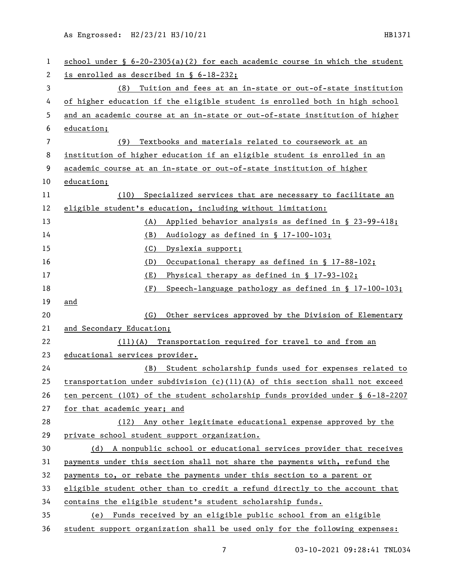| 1              | school under $\S$ 6-20-2305(a)(2) for each academic course in which the student  |
|----------------|----------------------------------------------------------------------------------|
| 2              | is enrolled as described in § 6-18-232;                                          |
| 3              | Tuition and fees at an in-state or out-of-state institution<br>(8)               |
| 4              | of higher education if the eligible student is enrolled both in high school      |
| 5              | and an academic course at an in-state or out-of-state institution of higher      |
| 6              | education;                                                                       |
| $\overline{7}$ | Textbooks and materials related to coursework at an<br>(9)                       |
| 8              | institution of higher education if an eligible student is enrolled in an         |
| 9              | academic course at an in-state or out-of-state institution of higher             |
| 10             | education;                                                                       |
| 11             | Specialized services that are necessary to facilitate an<br>(10)                 |
| 12             | eligible student's education, including without limitation:                      |
| 13             | Applied behavior analysis as defined in § 23-99-418;<br>(A)                      |
| 14             | (B)<br>Audiology as defined in § 17-100-103;                                     |
| 15             | (C)<br>Dyslexia support;                                                         |
| 16             | Occupational therapy as defined in § 17-88-102;<br>(D)                           |
| 17             | (E)<br>Physical therapy as defined in § 17-93-102;                               |
| 18             | (F)<br>Speech-language pathology as defined in § 17-100-103;                     |
| 19             | and                                                                              |
| 20             | Other services approved by the Division of Elementary<br>(G)                     |
| 21             | and Secondary Education;                                                         |
| 22             | $(11)(A)$ Transportation required for travel to and from an                      |
| 23             | educational services provider.                                                   |
| 24             | Student scholarship funds used for expenses related to<br>(B)                    |
| 25             | transportation under subdivision $(c)(11)(A)$ of this section shall not exceed   |
| 26             | ten percent (10%) of the student scholarship funds provided under $\S$ 6-18-2207 |
| 27             | for that academic year; and                                                      |
| 28             | (12) Any other legitimate educational expense approved by the                    |
| 29             | private school student support organization.                                     |
| 30             | (d) A nonpublic school or educational services provider that receives            |
| 31             | payments under this section shall not share the payments with, refund the        |
| 32             | payments to, or rebate the payments under this section to a parent or            |
| 33             | eligible student other than to credit a refund directly to the account that      |
| 34             | contains the eligible student's student scholarship funds.                       |
| 35             | (e) Funds received by an eligible public school from an eligible                 |
| 36             | student support organization shall be used only for the following expenses:      |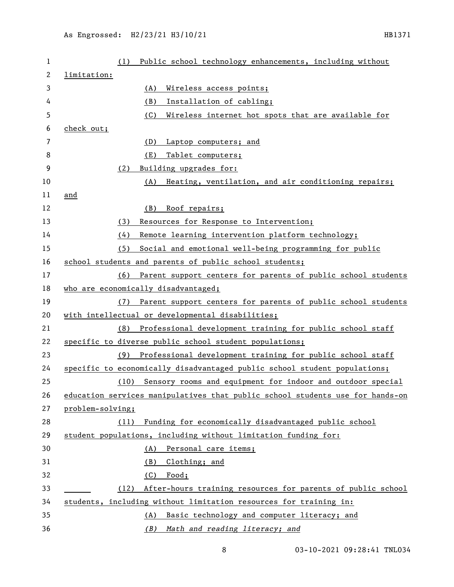| 1  | Public school technology enhancements, including without<br>(1)               |
|----|-------------------------------------------------------------------------------|
| 2  | limitation:                                                                   |
| 3  | (A)<br>Wireless access points;                                                |
| 4  | Installation of cabling;<br>(B)                                               |
| 5  | (C)<br>Wireless internet hot spots that are available for                     |
| 6  | check out;                                                                    |
| 7  | (D)<br>Laptop computers; and                                                  |
| 8  | Tablet computers;<br>(E)                                                      |
| 9  | Building upgrades for:<br>(2)                                                 |
| 10 | Heating, ventilation, and air conditioning repairs;<br>(A)                    |
| 11 | and                                                                           |
| 12 | Roof repairs;<br>(B)                                                          |
| 13 | Resources for Response to Intervention;<br>(3)                                |
| 14 | (4)<br>Remote learning intervention platform technology;                      |
| 15 | Social and emotional well-being programming for public<br>(5)                 |
| 16 | school students and parents of public school students;                        |
| 17 | Parent support centers for parents of public school students<br>(6)           |
| 18 | who are economically disadvantaged;                                           |
| 19 | Parent support centers for parents of public school students<br>(7)           |
| 20 | with intellectual or developmental disabilities;                              |
| 21 | Professional development training for public school staff<br>(8)              |
| 22 | specific to diverse public school student populations;                        |
| 23 | Professional development training for public school staff<br>(9)              |
| 24 | specific to economically disadvantaged public school student populations;     |
| 25 | (10) Sensory rooms and equipment for indoor and outdoor special               |
| 26 | education services manipulatives that public school students use for hands-on |
| 27 | problem-solving;                                                              |
| 28 | Funding for economically disadvantaged public school<br>(11)                  |
| 29 | student populations, including without limitation funding for:                |
| 30 | Personal care items;<br>(A)                                                   |
| 31 | Clothing; and<br><u>(B)</u>                                                   |
| 32 | Food;<br>(C)                                                                  |
| 33 | (12) After-hours training resources for parents of public school              |
| 34 | students, including without limitation resources for training in:             |
| 35 | Basic technology and computer literacy; and<br>(A)                            |
| 36 | Math and reading literacy; and<br>(B)                                         |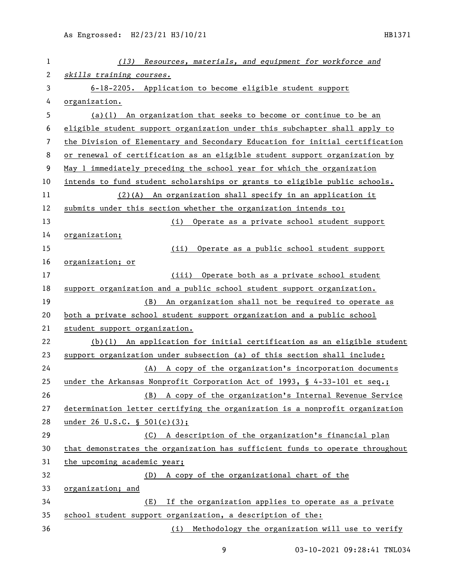| 1  | (13) Resources, materials, and equipment for workforce and                    |
|----|-------------------------------------------------------------------------------|
| 2  | skills training courses.                                                      |
| 3  | 6-18-2205. Application to become eligible student support                     |
| 4  | organization.                                                                 |
| 5  | $(a)(1)$ An organization that seeks to become or continue to be an            |
| 6  | eligible student support organization under this subchapter shall apply to    |
| 7  | the Division of Elementary and Secondary Education for initial certification  |
| 8  | or renewal of certification as an eligible student support organization by    |
| 9  | May 1 immediately preceding the school year for which the organization        |
| 10 | intends to fund student scholarships or grants to eligible public schools.    |
| 11 | $(2)(A)$ An organization shall specify in an application it                   |
| 12 | submits under this section whether the organization intends to:               |
| 13 | (i) Operate as a private school student support                               |
| 14 | organization;                                                                 |
| 15 | Operate as a public school student support<br>(ii)                            |
| 16 | organization; or                                                              |
| 17 | (iii) Operate both as a private school student                                |
| 18 | support organization and a public school student support organization.        |
| 19 | An organization shall not be required to operate as<br>(B)                    |
| 20 | both a private school student support organization and a public school        |
| 21 | student support organization.                                                 |
| 22 | $(b)(1)$ An application for initial certification as an eligible student      |
| 23 | support organization under subsection (a) of this section shall include:      |
| 24 | (A) A copy of the organization's incorporation documents                      |
| 25 | under the Arkansas Nonprofit Corporation Act of 1993, § 4-33-101 et seq.;     |
| 26 | A copy of the organization's Internal Revenue Service<br>(B)                  |
| 27 | determination letter certifying the organization is a nonprofit organization  |
| 28 | under 26 U.S.C. $\S$ 501(c)(3);                                               |
| 29 | A description of the organization's financial plan<br>(C)                     |
| 30 | that demonstrates the organization has sufficient funds to operate throughout |
| 31 | the upcoming academic year;                                                   |
| 32 | A copy of the organizational chart of the<br>(D)                              |
| 33 | organization; and                                                             |
| 34 | If the organization applies to operate as a private<br>(E)                    |
| 35 | school student support organization, a description of the:                    |
| 36 | Methodology the organization will use to verify<br>(i)                        |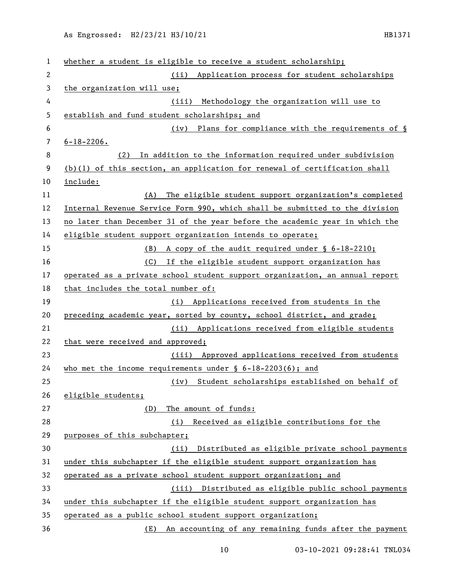| 1              | whether a student is eligible to receive a student scholarship;             |
|----------------|-----------------------------------------------------------------------------|
| $\overline{c}$ | (ii) Application process for student scholarships                           |
| 3              | the organization will use;                                                  |
| 4              | (iii) Methodology the organization will use to                              |
| 5              | establish and fund student scholarships; and                                |
| 6              | (iv) Plans for compliance with the requirements of §                        |
| 7              | $6 - 18 - 2206$ .                                                           |
| 8              | In addition to the information required under subdivision<br>(2)            |
| 9              | $(b)(1)$ of this section, an application for renewal of certification shall |
| 10             | include:                                                                    |
| 11             | The eligible student support organization's completed<br>(A)                |
| 12             | Internal Revenue Service Form 990, which shall be submitted to the division |
| 13             | no later than December 31 of the year before the academic year in which the |
| 14             | eligible student support organization intends to operate;                   |
| 15             | (B) A copy of the audit required under § 6-18-2210;                         |
| 16             | (C) If the eligible student support organization has                        |
| 17             | operated as a private school student support organization, an annual report |
| 18             | that includes the total number of:                                          |
| 19             | (i) Applications received from students in the                              |
| 20             | preceding academic year, sorted by county, school district, and grade;      |
| 21             | (ii) Applications received from eligible students                           |
| 22             | that were received and approved;                                            |
| 23             | (iii) Approved applications received from students                          |
| 24             | who met the income requirements under $\S$ 6-18-2203(6); and                |
| 25             | (iv) Student scholarships established on behalf of                          |
| 26             | eligible students;                                                          |
| 27             | (D)<br>The amount of funds:                                                 |
| 28             | (i) Received as eligible contributions for the                              |
| 29             | purposes of this subchapter;                                                |
| 30             | (ii) Distributed as eligible private school payments                        |
| 31             | under this subchapter if the eligible student support organization has      |
| 32             | operated as a private school student support organization; and              |
| 33             | (iii) Distributed as eligible public school payments                        |
| 34             | under this subchapter if the eligible student support organization has      |
| 35             | operated as a public school student support organization;                   |
| 36             | (E) An accounting of any remaining funds after the payment                  |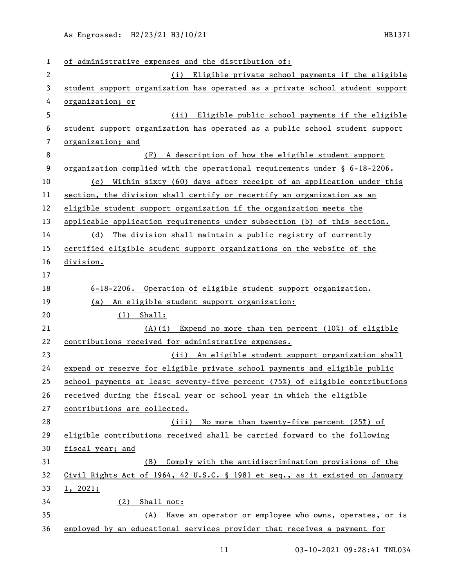| 1            | of administrative expenses and the distribution of:                           |
|--------------|-------------------------------------------------------------------------------|
| $\mathbf{2}$ | (i) Eligible private school payments if the eligible                          |
| 3            | student support organization has operated as a private school student support |
| 4            | organization; or                                                              |
| 5            | Eligible public school payments if the eligible<br>(ii)                       |
| 6            | student support organization has operated as a public school student support  |
| 7            | organization; and                                                             |
| 8            | (F) A description of how the eligible student support                         |
| 9            | organization complied with the operational requirements under $\S$ 6-18-2206. |
| 10           | (c) Within sixty (60) days after receipt of an application under this         |
| 11           | section, the division shall certify or recertify an organization as an        |
| 12           | eligible student support organization if the organization meets the           |
| 13           | applicable application requirements under subsection (b) of this section.     |
| 14           | (d) The division shall maintain a public registry of currently                |
| 15           | certified eligible student support organizations on the website of the        |
| 16           | division.                                                                     |
| 17           |                                                                               |
| 18           | 6-18-2206. Operation of eligible student support organization.                |
| 19           | (a) An eligible student support organization:                                 |
| 20           | (1)<br>Shall:                                                                 |
| 21           | Expend no more than ten percent (10%) of eligible<br>(A)(i)                   |
| 22           | contributions received for administrative expenses.                           |
| 23           | (ii) An eligible student support organization shall                           |
| 24           | expend or reserve for eligible private school payments and eligible public    |
| 25           | school payments at least seventy-five percent (75%) of eligible contributions |
| 26           | received during the fiscal year or school year in which the eligible          |
| 27           | contributions are collected.                                                  |
| 28           | (iii) No more than twenty-five percent (25%) of                               |
| 29           | eligible contributions received shall be carried forward to the following     |
| 30           | fiscal year; and                                                              |
| 31           | (B) Comply with the antidiscrimination provisions of the                      |
| 32           | Civil Rights Act of 1964, 42 U.S.C. § 1981 et seq., as it existed on January  |
| 33           | 1, 2021;                                                                      |
| 34           | $(2)$ Shall not:                                                              |
| 35           | (A) Have an operator or employee who owns, operates, or is                    |
| 36           | employed by an educational services provider that receives a payment for      |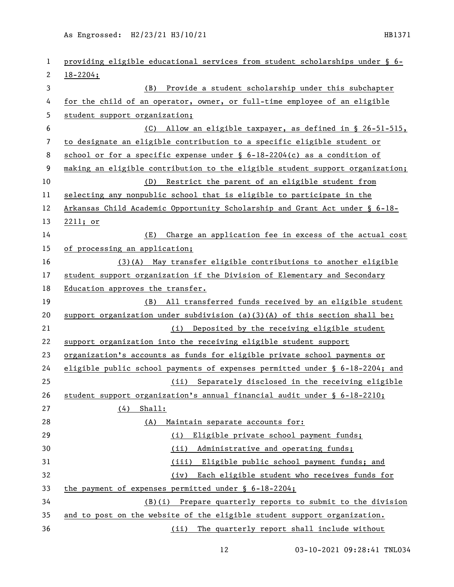| 1              | providing eligible educational services from student scholarships under § 6-  |
|----------------|-------------------------------------------------------------------------------|
| 2              | $18 - 2204;$                                                                  |
| 3              | (B) Provide a student scholarship under this subchapter                       |
| 4              | for the child of an operator, owner, or full-time employee of an eligible     |
| 5              | student support organization;                                                 |
| 6              | (C) Allow an eligible taxpayer, as defined in § 26-51-515,                    |
| $\overline{7}$ | to designate an eligible contribution to a specific eligible student or       |
| 8              | school or for a specific expense under $\S$ 6-18-2204(c) as a condition of    |
| 9              | making an eligible contribution to the eligible student support organization; |
| 10             | (D) Restrict the parent of an eligible student from                           |
| 11             | selecting any nonpublic school that is eligible to participate in the         |
| 12             | Arkansas Child Academic Opportunity Scholarship and Grant Act under § 6-18-   |
| 13             | 2211; or                                                                      |
| 14             | Charge an application fee in excess of the actual cost<br>(E)                 |
| 15             | of processing an application;                                                 |
| 16             | (3)(A) May transfer eligible contributions to another eligible                |
| 17             | student support organization if the Division of Elementary and Secondary      |
| 18             | Education approves the transfer.                                              |
| 19             | (B) All transferred funds received by an eligible student                     |
| 20             | support organization under subdivision (a) $(3)(A)$ of this section shall be: |
| 21             | (i) Deposited by the receiving eligible student                               |
| 22             | support organization into the receiving eligible student support              |
| 23             | organization's accounts as funds for eligible private school payments or      |
| 24             | eligible public school payments of expenses permitted under § 6-18-2204; and  |
| 25             | (ii) Separately disclosed in the receiving eligible                           |
| 26             | student support organization's annual financial audit under § 6-18-2210;      |
| 27             | $(4)$ Shall:                                                                  |
| 28             | (A) Maintain separate accounts for:                                           |
| 29             | Eligible private school payment funds;<br>(i)                                 |
| 30             | (ii) Administrative and operating funds;                                      |
| 31             | (iii) Eligible public school payment funds; and                               |
| 32             | (iv) Each eligible student who receives funds for                             |
| 33             | the payment of expenses permitted under § 6-18-2204;                          |
| 34             | $(B)(i)$ Prepare quarterly reports to submit to the division                  |
| 35             | and to post on the website of the eligible student support organization.      |
| 36             | (ii) The quarterly report shall include without                               |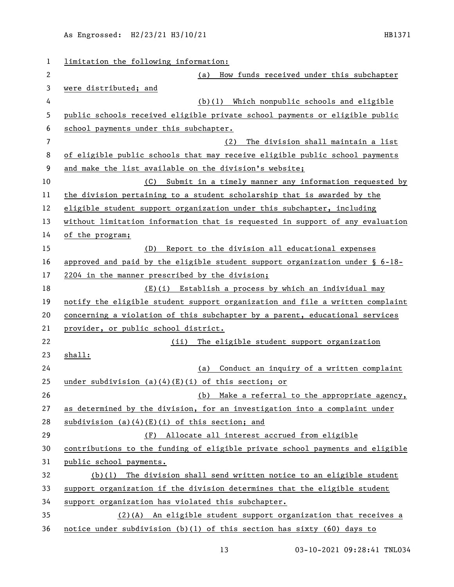| $\mathbf 1$    | limitation the following information:                                           |
|----------------|---------------------------------------------------------------------------------|
| 2              | How funds received under this subchapter<br>(a)                                 |
| 3              | were distributed; and                                                           |
| 4              | (b)(1) Which nonpublic schools and eligible                                     |
| 5              | public schools received eligible private school payments or eligible public     |
| 6              | school payments under this subchapter.                                          |
| $\overline{7}$ | The division shall maintain a list<br>(2)                                       |
| 8              | of eligible public schools that may receive eligible public school payments     |
| 9              | and make the list available on the division's website;                          |
| 10             | (C)<br>Submit in a timely manner any information requested by                   |
| 11             | the division pertaining to a student scholarship that is awarded by the         |
| 12             | eligible student support organization under this subchapter, including          |
| 13             | without limitation information that is requested in support of any evaluation   |
| 14             | of the program;                                                                 |
| 15             | Report to the division all educational expenses<br>(D)                          |
| 16             | approved and paid by the eligible student support organization under $\S$ 6-18- |
| 17             | 2204 in the manner prescribed by the division;                                  |
| 18             | (E)(i) Establish a process by which an individual may                           |
| 19             | notify the eligible student support organization and file a written complaint   |
| 20             | concerning a violation of this subchapter by a parent, educational services     |
| 21             | provider, or public school district.                                            |
| 22             | The eligible student support organization<br>(ii)                               |
| 23             | shall:                                                                          |
| 24             | Conduct an inquiry of a written complaint<br>(a)                                |
| 25             | under subdivision $(a)(4)(E)(i)$ of this section; or                            |
| 26             | Make a referral to the appropriate agency,<br>(b)                               |
| 27             | as determined by the division, for an investigation into a complaint under      |
| 28             | subdivision $(a)(4)(E)(i)$ of this section; and                                 |
| 29             | Allocate all interest accrued from eligible<br>(F)                              |
| 30             | contributions to the funding of eligible private school payments and eligible   |
| 31             | public school payments.                                                         |
| 32             | $(b)(1)$ The division shall send written notice to an eligible student          |
| 33             | support organization if the division determines that the eligible student       |
| 34             | support organization has violated this subchapter.                              |
| 35             | (2)(A) An eligible student support organization that receives a                 |
| 36             | notice under subdivision (b)(1) of this section has sixty (60) days to          |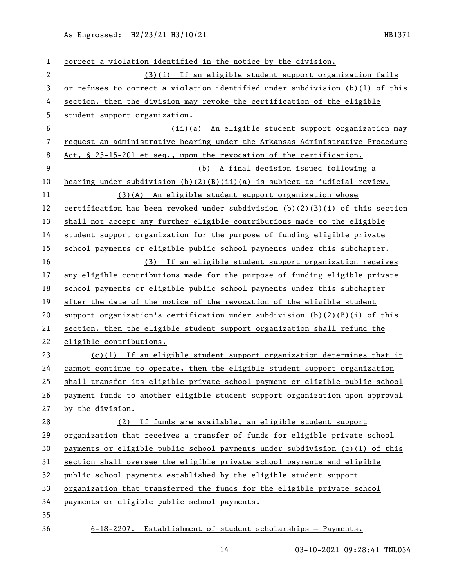| 1            | correct a violation identified in the notice by the division.                   |
|--------------|---------------------------------------------------------------------------------|
| $\mathbf{2}$ | (B)(i) If an eligible student support organization fails                        |
| 3            | or refuses to correct a violation identified under subdivision (b)(1) of this   |
| 4            | section, then the division may revoke the certification of the eligible         |
| 5            | student support organization.                                                   |
| 6            | (ii)(a) An eligible student support organization may                            |
| 7            | request an administrative hearing under the Arkansas Administrative Procedure   |
| 8            | Act, $\S$ 25-15-201 et seq., upon the revocation of the certification.          |
| 9            | (b) A final decision issued following a                                         |
| 10           | hearing under subdivision $(b)(2)(B)(ii)(a)$ is subject to judicial review.     |
| 11           | (3)(A) An eligible student support organization whose                           |
| 12           | certification has been revoked under subdivision $(b)(2)(B)(i)$ of this section |
| 13           | shall not accept any further eligible contributions made to the eligible        |
| 14           | student support organization for the purpose of funding eligible private        |
| 15           | school payments or eligible public school payments under this subchapter.       |
| 16           | (B) If an eligible student support organization receives                        |
| 17           | any eligible contributions made for the purpose of funding eligible private     |
| 18           | school payments or eligible public school payments under this subchapter        |
| 19           | after the date of the notice of the revocation of the eligible student          |
| 20           | support organization's certification under subdivision $(b)(2)(B)(i)$ of this   |
| 21           | section, then the eligible student support organization shall refund the        |
| 22           | eligible contributions.                                                         |
| 23           | $(c)(1)$ If an eligible student support organization determines that it         |
| 24           | cannot continue to operate, then the eligible student support organization      |
| 25           | shall transfer its eligible private school payment or eligible public school    |
| 26           | payment funds to another eligible student support organization upon approval    |
| 27           | by the division.                                                                |
| 28           | (2) If funds are available, an eligible student support                         |
| 29           | organization that receives a transfer of funds for eligible private school      |
| 30           | payments or eligible public school payments under subdivision (c)(1) of this    |
| 31           | section shall oversee the eligible private school payments and eligible         |
| 32           | public school payments established by the eligible student support              |
| 33           | organization that transferred the funds for the eligible private school         |
| 34           | payments or eligible public school payments.                                    |
| 35           |                                                                                 |
| 36           | $6-18-2207$ . Establishment of student scholarships - Payments.                 |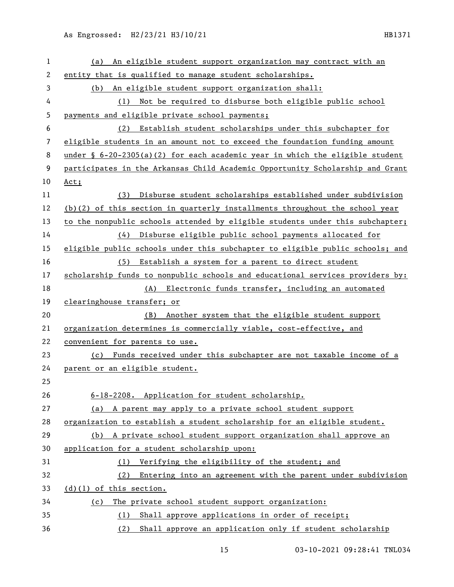| 1  | An eligible student support organization may contract with an<br>(a)           |
|----|--------------------------------------------------------------------------------|
| 2  | entity that is qualified to manage student scholarships.                       |
| 3  | An eligible student support organization shall:<br>(b)                         |
| 4  | Not be required to disburse both eligible public school<br>(1)                 |
| 5  | payments and eligible private school payments;                                 |
| 6  | (2) Establish student scholarships under this subchapter for                   |
| 7  | eligible students in an amount not to exceed the foundation funding amount     |
| 8  | under § $6-20-2305(a)(2)$ for each academic year in which the eligible student |
| 9  | participates in the Arkansas Child Academic Opportunity Scholarship and Grant  |
| 10 | $Act$ ;                                                                        |
| 11 | Disburse student scholarships established under subdivision<br>(3)             |
| 12 | $(b)(2)$ of this section in quarterly installments throughout the school year  |
| 13 | to the nonpublic schools attended by eligible students under this subchapter;  |
| 14 | (4) Disburse eligible public school payments allocated for                     |
| 15 | eligible public schools under this subchapter to eligible public schools; and  |
| 16 | (5) Establish a system for a parent to direct student                          |
| 17 | scholarship funds to nonpublic schools and educational services providers by:  |
| 18 | (A) Electronic funds transfer, including an automated                          |
| 19 | clearinghouse transfer; or                                                     |
| 20 | (B) Another system that the eligible student support                           |
| 21 | organization determines is commercially viable, cost-effective, and            |
| 22 | convenient for parents to use.                                                 |
| 23 | Funds received under this subchapter are not taxable income of a<br>(c)        |
| 24 | parent or an eligible student.                                                 |
| 25 |                                                                                |
| 26 | 6-18-2208. Application for student scholarship.                                |
| 27 | (a) A parent may apply to a private school student support                     |
| 28 | organization to establish a student scholarship for an eligible student.       |
| 29 | (b) A private school student support organization shall approve an             |
| 30 | application for a student scholarship upon:                                    |
| 31 | (1) Verifying the eligibility of the student; and                              |
| 32 | Entering into an agreement with the parent under subdivision<br>(2)            |
| 33 | $(d)(1)$ of this section.                                                      |
| 34 | The private school student support organization:<br>(c)                        |
| 35 | (1) Shall approve applications in order of receipt;                            |
|    |                                                                                |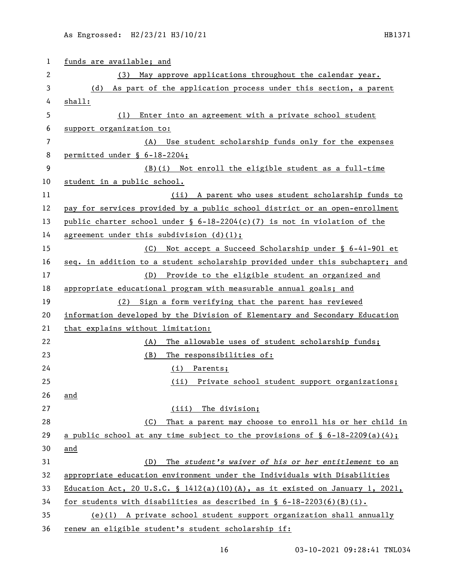| 1  | funds are available; and                                                       |
|----|--------------------------------------------------------------------------------|
| 2  | (3) May approve applications throughout the calendar year.                     |
| 3  | (d) As part of the application process under this section, a parent            |
| 4  | shall:                                                                         |
| 5  | Enter into an agreement with a private school student<br>(1)                   |
| 6  | support organization to:                                                       |
| 7  | Use student scholarship funds only for the expenses<br>(A)                     |
| 8  | permitted under § 6-18-2204;                                                   |
| 9  | (B)(i) Not enroll the eligible student as a full-time                          |
| 10 | student in a public school.                                                    |
| 11 | (ii) A parent who uses student scholarship funds to                            |
| 12 | pay for services provided by a public school district or an open-enrollment    |
| 13 | public charter school under $\S$ 6-18-2204(c)(7) is not in violation of the    |
| 14 | agreement under this subdivision $(d)(1)$ ;                                    |
| 15 | (C) Not accept a Succeed Scholarship under § 6-41-901 et                       |
| 16 | seq. in addition to a student scholarship provided under this subchapter; and  |
| 17 | (D) Provide to the eligible student an organized and                           |
| 18 | appropriate educational program with measurable annual goals; and              |
| 19 | (2) Sign a form verifying that the parent has reviewed                         |
| 20 | information developed by the Division of Elementary and Secondary Education    |
| 21 | that explains without limitation:                                              |
| 22 | The allowable uses of student scholarship funds;<br>(A)                        |
| 23 | The responsibilities of:<br>(B)                                                |
| 24 | (i) Parents;                                                                   |
| 25 | (ii) Private school student support organizations;                             |
| 26 | and                                                                            |
| 27 | (iii) The division;                                                            |
| 28 | That a parent may choose to enroll his or her child in<br>(C)                  |
| 29 | a public school at any time subject to the provisions of $\S$ 6-18-2209(a)(4); |
| 30 | and                                                                            |
| 31 | The student's waiver of his or her entitlement to an<br>(D)                    |
| 32 | appropriate education environment under the Individuals with Disabilities      |
| 33 | Education Act, 20 U.S.C. § 1412(a)(10)(A), as it existed on January 1, 2021,   |
| 34 | for students with disabilities as described in $\S$ 6-18-2203(6)(B)(i).        |
| 35 | (e)(l) A private school student support organization shall annually            |
| 36 | renew an eligible student's student scholarship if:                            |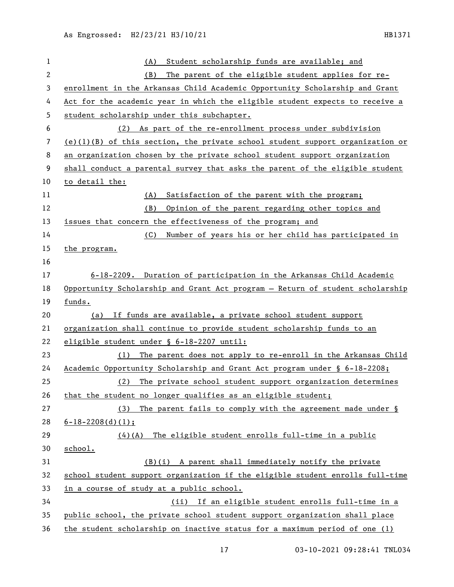| $\mathbf{1}$ | Student scholarship funds are available; and<br>(A)                             |
|--------------|---------------------------------------------------------------------------------|
| 2            | The parent of the eligible student applies for re-<br>(B)                       |
| 3            | enrollment in the Arkansas Child Academic Opportunity Scholarship and Grant     |
| 4            | Act for the academic year in which the eligible student expects to receive a    |
| 5            | student scholarship under this subchapter.                                      |
| 6            | (2) As part of the re-enrollment process under subdivision                      |
| 7            | $(e)(1)(B)$ of this section, the private school student support organization or |
| 8            | an organization chosen by the private school student support organization       |
| 9            | shall conduct a parental survey that asks the parent of the eligible student    |
| 10           | to detail the:                                                                  |
| 11           | Satisfaction of the parent with the program;<br>(A)                             |
| 12           | Opinion of the parent regarding other topics and<br>(B)                         |
| 13           | issues that concern the effectiveness of the program; and                       |
| 14           | Number of years his or her child has participated in<br>(C)                     |
| 15           | the program.                                                                    |
| 16           |                                                                                 |
| 17           | 6-18-2209. Duration of participation in the Arkansas Child Academic             |
| 18           | Opportunity Scholarship and Grant Act program - Return of student scholarship   |
| 19           | funds.                                                                          |
| 20           | (a) If funds are available, a private school student support                    |
| 21           | organization shall continue to provide student scholarship funds to an          |
| 22           | eligible student under § 6-18-2207 until:                                       |
| 23           | The parent does not apply to re-enroll in the Arkansas Child<br>(1)             |
| 24           | Academic Opportunity Scholarship and Grant Act program under § 6-18-2208;       |
| 25           | The private school student support organization determines<br>(2)               |
| 26           | that the student no longer qualifies as an eligible student;                    |
| 27           | (3)<br>The parent fails to comply with the agreement made under §               |
| 28           | $6 - 18 - 2208$ (d) (1);                                                        |
| 29           | The eligible student enrolls full-time in a public<br>(4)(A)                    |
| 30           | school.                                                                         |
| 31           | (B)(i) A parent shall immediately notify the private                            |
| 32           | school student support organization if the eligible student enrolls full-time   |
| 33           | in a course of study at a public school.                                        |
| 34           | If an eligible student enrolls full-time in a<br>(ii)                           |
| 35           | public school, the private school student support organization shall place      |
| 36           | the student scholarship on inactive status for a maximum period of one (1)      |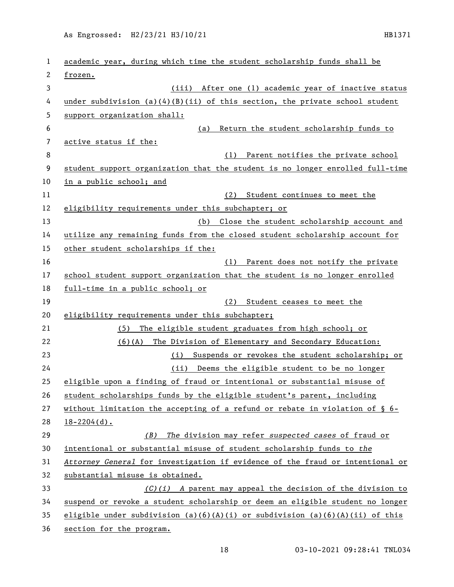| 1  | academic year, during which time the student scholarship funds shall be        |
|----|--------------------------------------------------------------------------------|
| 2  | frozen.                                                                        |
| 3  | (iii) After one (1) academic year of inactive status                           |
| 4  | under subdivision $(a)(4)(B)(ii)$ of this section, the private school student  |
| 5  | support organization shall:                                                    |
| 6  | Return the student scholarship funds to<br>(a)                                 |
| 7  | active status if the:                                                          |
| 8  | Parent notifies the private school<br>(1)                                      |
| 9  | student support organization that the student is no longer enrolled full-time  |
| 10 | in a public school; and                                                        |
| 11 | (2) Student continues to meet the                                              |
| 12 | eligibility requirements under this subchapter; or                             |
| 13 | (b) Close the student scholarship account and                                  |
| 14 | utilize any remaining funds from the closed student scholarship account for    |
| 15 | other student scholarships if the:                                             |
| 16 | Parent does not notify the private<br>(1)                                      |
| 17 | school student support organization that the student is no longer enrolled     |
| 18 | full-time in a public school; or                                               |
| 19 | (2)<br>Student ceases to meet the                                              |
| 20 | eligibility requirements under this subchapter;                                |
| 21 | The eligible student graduates from high school; or<br>(5)                     |
| 22 | (6)(A)<br>The Division of Elementary and Secondary Education:                  |
| 23 | (i) Suspends or revokes the student scholarship; or                            |
| 24 | (ii) Deems the eligible student to be no longer                                |
| 25 | eligible upon a finding of fraud or intentional or substantial misuse of       |
| 26 | student scholarships funds by the eligible student's parent, including         |
| 27 | without limitation the accepting of a refund or rebate in violation of $\S$ 6- |
| 28 | $18 - 2204$ (d).                                                               |
| 29 | The division may refer suspected cases of fraud or<br>(B)                      |
| 30 | intentional or substantial misuse of student scholarship funds to the          |
| 31 | Attorney General for investigation if evidence of the fraud or intentional or  |
| 32 | substantial misuse is obtained.                                                |
| 33 | $(C)(i)$ A parent may appeal the decision of the division to                   |
| 34 | suspend or revoke a student scholarship or deem an eligible student no longer  |
| 35 |                                                                                |
|    | eligible under subdivision (a)(6)(A)(i) or subdivision (a)(6)(A)(ii) of this   |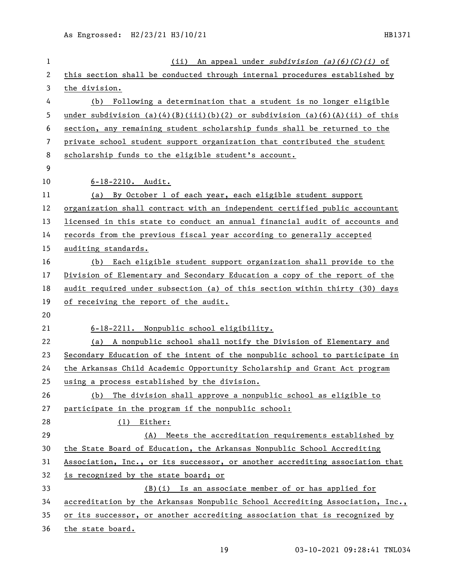| 1              | (ii) An appeal under subdivision $(a)(6)(C)(i)$ of                            |
|----------------|-------------------------------------------------------------------------------|
| 2              | this section shall be conducted through internal procedures established by    |
| 3              | the division.                                                                 |
| 4              | Following a determination that a student is no longer eligible<br>(b)         |
| 5              | under subdivision (a)(4)(B)(iii)(b)(2) or subdivision (a)(6)(A)(ii) of this   |
| 6              | section, any remaining student scholarship funds shall be returned to the     |
| $\overline{7}$ | private school student support organization that contributed the student      |
| 8              | scholarship funds to the eligible student's account.                          |
| 9              |                                                                               |
| 10             | $6 - 18 - 2210$ . Audit.                                                      |
| 11             | (a) By October 1 of each year, each eligible student support                  |
| 12             | organization shall contract with an independent certified public accountant   |
| 13             | licensed in this state to conduct an annual financial audit of accounts and   |
| 14             | records from the previous fiscal year according to generally accepted         |
| 15             | auditing standards.                                                           |
| 16             | (b) Each eligible student support organization shall provide to the           |
| 17             | Division of Elementary and Secondary Education a copy of the report of the    |
| 18             | audit required under subsection (a) of this section within thirty (30) days   |
| 19             | of receiving the report of the audit.                                         |
| 20             |                                                                               |
| 21             | 6-18-2211. Nonpublic school eligibility.                                      |
| 22             | (a) A nonpublic school shall notify the Division of Elementary and            |
| 23             | Secondary Education of the intent of the nonpublic school to participate in   |
| 24             | the Arkansas Child Academic Opportunity Scholarship and Grant Act program     |
| 25             | using a process established by the division.                                  |
| 26             | The division shall approve a nonpublic school as eligible to<br>(b)           |
| 27             | participate in the program if the nonpublic school:                           |
| 28             | $(1)$ Either:                                                                 |
| 29             | (A) Meets the accreditation requirements established by                       |
| 30             | the State Board of Education, the Arkansas Nonpublic School Accrediting       |
| 31             | Association, Inc., or its successor, or another accrediting association that  |
| 32             | is recognized by the state board; or                                          |
| 33             | (B)(i) Is an associate member of or has applied for                           |
| 34             | accreditation by the Arkansas Nonpublic School Accrediting Association, Inc., |
| 35             | or its successor, or another accrediting association that is recognized by    |
| 36             | the state board.                                                              |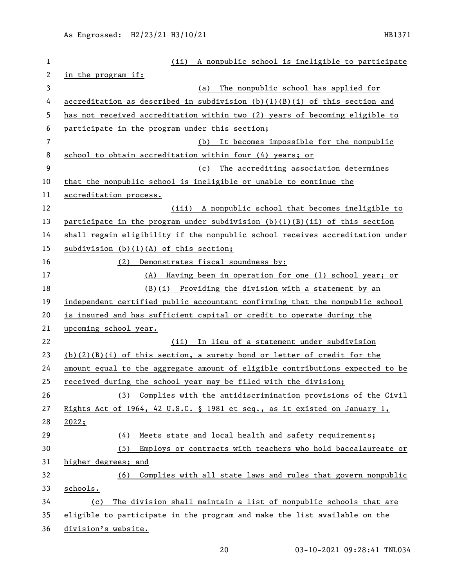| $\mathbf 1$ | (ii) A nonpublic school is ineligible to participate                          |
|-------------|-------------------------------------------------------------------------------|
| 2           | in the program if:                                                            |
| 3           | The nonpublic school has applied for<br>(a)                                   |
| 4           | accreditation as described in subdivision $(b)(1)(B)(i)$ of this section and  |
| 5           | has not received accreditation within two (2) years of becoming eligible to   |
| 6           | participate in the program under this section;                                |
| 7           | It becomes impossible for the nonpublic<br>(b)                                |
| 8           | school to obtain accreditation within four (4) years; or                      |
| 9           | The accrediting association determines<br>(c)                                 |
| 10          | that the nonpublic school is ineligible or unable to continue the             |
| 11          | accreditation process.                                                        |
| 12          | (iii) A nonpublic school that becomes ineligible to                           |
| 13          | participate in the program under subdivision $(b)(1)(B)(ii)$ of this section  |
| 14          | shall regain eligibility if the nonpublic school receives accreditation under |
| 15          | subdivision $(b)(1)(A)$ of this section;                                      |
| 16          | Demonstrates fiscal soundness by:<br>(2)                                      |
| 17          | Having been in operation for one (1) school year; or<br>(A)                   |
| 18          | (B)(i) Providing the division with a statement by an                          |
| 19          | independent certified public accountant confirming that the nonpublic school  |
| 20          | is insured and has sufficient capital or credit to operate during the         |
| 21          | upcoming school year.                                                         |
| 22          | (ii) In lieu of a statement under subdivision                                 |
| 23          | $(b)(2)(B)(i)$ of this section, a surety bond or letter of credit for the     |
| 24          | amount equal to the aggregate amount of eligible contributions expected to be |
| 25          | received during the school year may be filed with the division;               |
| 26          | Complies with the antidiscrimination provisions of the Civil<br>(3)           |
| 27          | Rights Act of 1964, 42 U.S.C. § 1981 et seq., as it existed on January 1,     |
| 28          | 2022;                                                                         |
| 29          | (4)<br>Meets state and local health and safety requirements;                  |
| 30          | (5)<br>Employs or contracts with teachers who hold baccalaureate or           |
| 31          | higher degrees; and                                                           |
| 32          | Complies with all state laws and rules that govern nonpublic<br>(6)           |
| 33          | schools.                                                                      |
| 34          | The division shall maintain a list of nonpublic schools that are<br>(c)       |
| 35          | eligible to participate in the program and make the list available on the     |
| 36          | division's website.                                                           |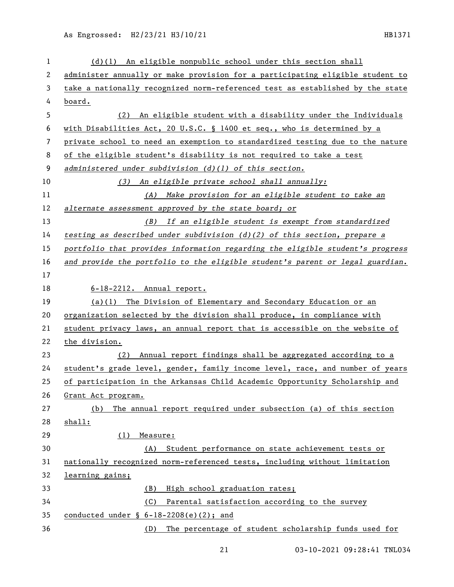| 1  | $(d)(1)$ An eligible nonpublic school under this section shall                |
|----|-------------------------------------------------------------------------------|
| 2  | administer annually or make provision for a participating eligible student to |
| 3  | take a nationally recognized norm-referenced test as established by the state |
| 4  | board.                                                                        |
| 5  | An eligible student with a disability under the Individuals<br>(2)            |
| 6  | with Disabilities Act, 20 U.S.C. § 1400 et seq., who is determined by a       |
| 7  | private school to need an exemption to standardized testing due to the nature |
| 8  | of the eligible student's disability is not required to take a test           |
| 9  | administered under subdivision $(d)$ (1) of this section.                     |
| 10 | (3) An eligible private school shall annually:                                |
| 11 | Make provision for an eligible student to take an<br>(A)                      |
| 12 | alternate assessment approved by the state board; or                          |
| 13 | (B) If an eligible student is exempt from standardized                        |
| 14 | testing as described under subdivision $(d)(2)$ of this section, prepare a    |
| 15 | portfolio that provides information regarding the eligible student's progress |
| 16 | and provide the portfolio to the eligible student's parent or legal guardian. |
| 17 |                                                                               |
| 18 | $6-18-2212$ . Annual report.                                                  |
| 19 | $(a)(1)$ The Division of Elementary and Secondary Education or an             |
| 20 | organization selected by the division shall produce, in compliance with       |
| 21 | student privacy laws, an annual report that is accessible on the website of   |
| 22 | the division.                                                                 |
| 23 | Annual report findings shall be aggregated according to a<br>(2)              |
| 24 | student's grade level, gender, family income level, race, and number of years |
| 25 | of participation in the Arkansas Child Academic Opportunity Scholarship and   |
| 26 | Grant Act program.                                                            |
| 27 | The annual report required under subsection (a) of this section<br>(b)        |
| 28 | shall:                                                                        |
| 29 | Measure:<br>(1)                                                               |
| 30 | Student performance on state achievement tests or<br>(A)                      |
| 31 | nationally recognized norm-referenced tests, including without limitation     |
| 32 | learning gains;                                                               |
| 33 | High school graduation rates;<br>(B)                                          |
| 34 | Parental satisfaction according to the survey<br>(C)                          |
| 35 | conducted under $\S$ 6-18-2208(e)(2); and                                     |
| 36 | The percentage of student scholarship funds used for<br>(D)                   |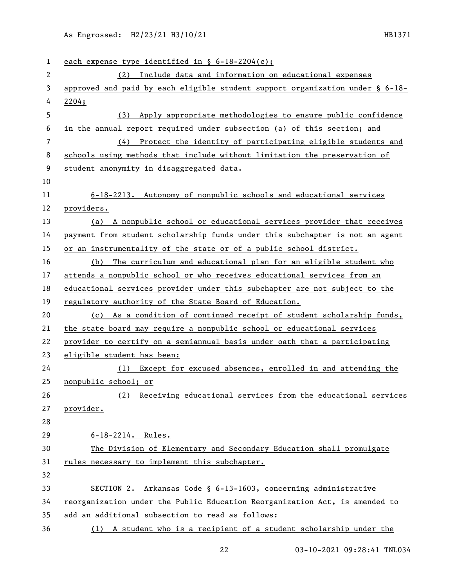| 1              | each expense type identified in $\S$ 6-18-2204(c);                               |
|----------------|----------------------------------------------------------------------------------|
| $\overline{2}$ | (2) Include data and information on educational expenses                         |
| 3              | approved and paid by each eligible student support organization under $\S$ 6-18- |
| 4              | 2204;                                                                            |
| 5              | (3) Apply appropriate methodologies to ensure public confidence                  |
| 6              | in the annual report required under subsection (a) of this section; and          |
| $\overline{7}$ | Protect the identity of participating eligible students and<br>(4)               |
| 8              | schools using methods that include without limitation the preservation of        |
| 9              | student anonymity in disaggregated data.                                         |
| 10             |                                                                                  |
| 11             | 6-18-2213. Autonomy of nonpublic schools and educational services                |
| 12             | providers.                                                                       |
| 13             | (a) A nonpublic school or educational services provider that receives            |
| 14             | payment from student scholarship funds under this subchapter is not an agent     |
| 15             | or an instrumentality of the state or of a public school district.               |
| 16             | (b) The curriculum and educational plan for an eligible student who              |
| 17             | attends a nonpublic school or who receives educational services from an          |
| 18             | educational services provider under this subchapter are not subject to the       |
| 19             | regulatory authority of the State Board of Education.                            |
| 20             | (c) As a condition of continued receipt of student scholarship funds,            |
| 21             | the state board may require a nonpublic school or educational services           |
| 22             | provider to certify on a semiannual basis under oath that a participating        |
| 23             | eligible student has been:                                                       |
| 24             | (1) Except for excused absences, enrolled in and attending the                   |
| 25             | nonpublic school; or                                                             |
| 26             | (2) Receiving educational services from the educational services                 |
| 27             | provider.                                                                        |
| 28             |                                                                                  |
| 29             | $6 - 18 - 2214$ . Rules.                                                         |
| 30             | The Division of Elementary and Secondary Education shall promulgate              |
| 31             | rules necessary to implement this subchapter.                                    |
| 32             |                                                                                  |
| 33             | SECTION 2. Arkansas Code § 6-13-1603, concerning administrative                  |
| 34             | reorganization under the Public Education Reorganization Act, is amended to      |
| 35             | add an additional subsection to read as follows:                                 |
| 36             | (1) A student who is a recipient of a student scholarship under the              |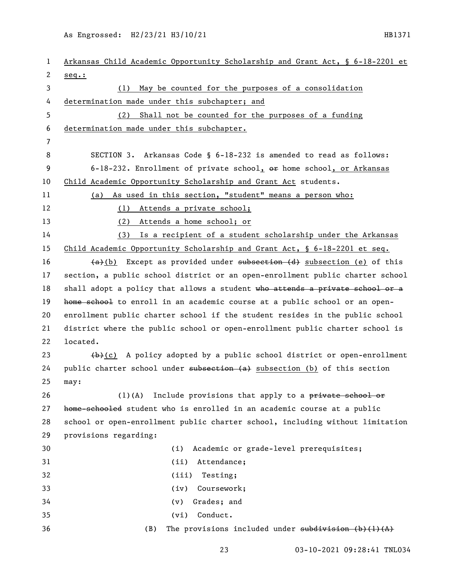| 1              | Arkansas Child Academic Opportunity Scholarship and Grant Act, § 6-18-2201 et         |
|----------------|---------------------------------------------------------------------------------------|
| 2              | $seq.$ :                                                                              |
| 3              | (1) May be counted for the purposes of a consolidation                                |
| 4              | determination made under this subchapter; and                                         |
| 5              | Shall not be counted for the purposes of a funding<br>(2)                             |
| 6              | determination made under this subchapter.                                             |
| $\overline{7}$ |                                                                                       |
| 8              | SECTION 3. Arkansas Code § 6-18-232 is amended to read as follows:                    |
| 9              | 6-18-232. Enrollment of private school, $\theta$ home school, or Arkansas             |
| 10             | Child Academic Opportunity Scholarship and Grant Act students.                        |
| 11             | (a) As used in this section, "student" means a person who:                            |
| 12             | (1) Attends a private school;                                                         |
| 13             | (2) Attends a home school; or                                                         |
| 14             | (3) Is a recipient of a student scholarship under the Arkansas                        |
| 15             | Child Academic Opportunity Scholarship and Grant Act, § 6-18-2201 et seq.             |
| 16             | $(a)$ Except as provided under subsection $(d)$ subsection (e) of this                |
| 17             | section, a public school district or an open-enrollment public charter school         |
| 18             | shall adopt a policy that allows a student who attends a private school or a          |
| 19             | home school to enroll in an academic course at a public school or an open-            |
| 20             | enrollment public charter school if the student resides in the public school          |
| 21             | district where the public school or open-enrollment public charter school is          |
| 22             | located.                                                                              |
| 23             | $\{\rightarrow\}$ (c) A policy adopted by a public school district or open-enrollment |
| 24             | public charter school under subsection (a) subsection (b) of this section             |
| 25             | may:                                                                                  |
| 26             | Include provisions that apply to a private school or<br>$(1)$ (A)                     |
| 27             | home-schooled student who is enrolled in an academic course at a public               |
| 28             | school or open-enrollment public charter school, including without limitation         |
| 29             | provisions regarding:                                                                 |
| 30             | (i)<br>Academic or grade-level prerequisites;                                         |
| 31             | Attendance;<br>(ii)                                                                   |
| 32             | (iii)<br>Testing;                                                                     |
| 33             | Coursework;<br>(iv)                                                                   |
| 34             | Grades; and<br>(v)                                                                    |
| 35             | Conduct.<br>(vi)                                                                      |
| 36             | (B)<br>The provisions included under $subdivision (b) (1) (A)$                        |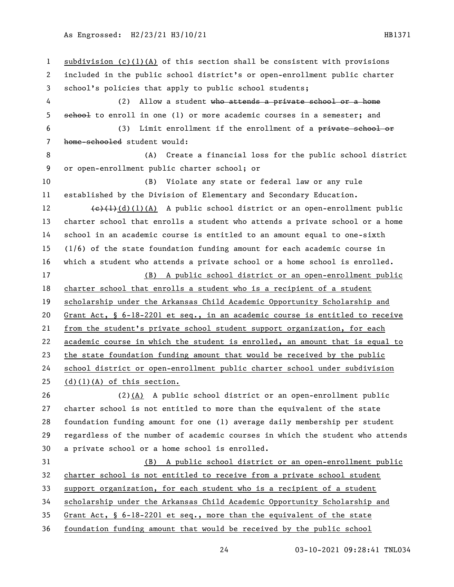subdivision (c)(1)(A) of this section shall be consistent with provisions included in the public school district's or open-enrollment public charter school's policies that apply to public school students; (2) Allow a student who attends a private school or a home 5 sehool to enroll in one (1) or more academic courses in a semester; and (3) Limit enrollment if the enrollment of a private school or home-schooled student would: (A) Create a financial loss for the public school district or open-enrollment public charter school; or (B) Violate any state or federal law or any rule established by the Division of Elementary and Secondary Education.  $\left\{\epsilon\right\}(1)(1)(A)$  A public school district or an open-enrollment public charter school that enrolls a student who attends a private school or a home school in an academic course is entitled to an amount equal to one-sixth (1/6) of the state foundation funding amount for each academic course in which a student who attends a private school or a home school is enrolled. (B) A public school district or an open-enrollment public charter school that enrolls a student who is a recipient of a student scholarship under the Arkansas Child Academic Opportunity Scholarship and Grant Act, § 6-18-2201 et seq., in an academic course is entitled to receive from the student's private school student support organization, for each academic course in which the student is enrolled, an amount that is equal to the state foundation funding amount that would be received by the public school district or open-enrollment public charter school under subdivision 25 (d)(1)(A) of this section. (2)(A) A public school district or an open-enrollment public charter school is not entitled to more than the equivalent of the state foundation funding amount for one (1) average daily membership per student regardless of the number of academic courses in which the student who attends a private school or a home school is enrolled. (B) A public school district or an open-enrollment public charter school is not entitled to receive from a private school student support organization, for each student who is a recipient of a student scholarship under the Arkansas Child Academic Opportunity Scholarship and Grant Act, § 6-18-2201 et seq., more than the equivalent of the state foundation funding amount that would be received by the public school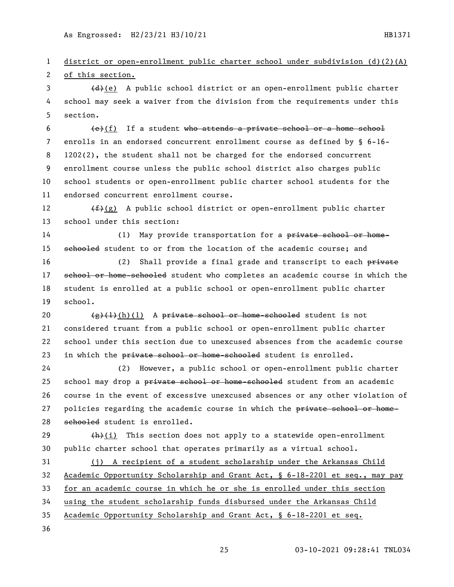district or open-enrollment public charter school under subdivision (d)(2)(A) of this section. 3 (d)(e) A public school district or an open-enrollment public charter

 school may seek a waiver from the division from the requirements under this section.

  $\left\{\epsilon\right\}$ (f) If a student who attends a private school or a home school enrolls in an endorsed concurrent enrollment course as defined by § 6-16- 1202(2), the student shall not be charged for the endorsed concurrent enrollment course unless the public school district also charges public school students or open-enrollment public charter school students for the endorsed concurrent enrollment course.

12  $(f)(g)$  A public school district or open-enrollment public charter school under this section:

14 (1) May provide transportation for a private school or home-15 sehooled student to or from the location of the academic course; and

16 (2) Shall provide a final grade and transcript to each private 17 school or home-schooled student who completes an academic course in which the student is enrolled at a public school or open-enrollment public charter school.

 $\left(\frac{e}{f}(\frac{1}{h})(h)(1)$  A private school or home-schooled student is not considered truant from a public school or open-enrollment public charter school under this section due to unexcused absences from the academic course 23 in which the private school or home-schooled student is enrolled.

 (2) However, a public school or open-enrollment public charter 25 school may drop a private school or home-schooled student from an academic course in the event of excessive unexcused absences or any other violation of 27 policies regarding the academic course in which the private school or home-schooled student is enrolled.

29  $(h)(i)$  This section does not apply to a statewide open-enrollment public charter school that operates primarily as a virtual school.

 (j) A recipient of a student scholarship under the Arkansas Child Academic Opportunity Scholarship and Grant Act, § 6-18-2201 et seq., may pay for an academic course in which he or she is enrolled under this section using the student scholarship funds disbursed under the Arkansas Child Academic Opportunity Scholarship and Grant Act, § 6-18-2201 et seq.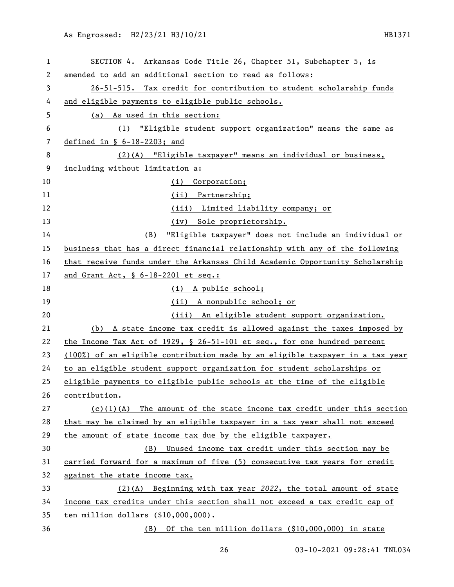| 1  | SECTION 4. Arkansas Code Title 26, Chapter 51, Subchapter 5, is               |
|----|-------------------------------------------------------------------------------|
| 2  | amended to add an additional section to read as follows:                      |
| 3  | 26-51-515. Tax credit for contribution to student scholarship funds           |
| 4  | and eligible payments to eligible public schools.                             |
| 5  | (a) As used in this section:                                                  |
| 6  | "Eligible student support organization" means the same as<br>(1)              |
| 7  | defined in $\S$ 6-18-2203; and                                                |
| 8  | (2)(A) "Eligible taxpayer" means an individual or business,                   |
| 9  | including without limitation a:                                               |
| 10 | Corporation;<br>(i)                                                           |
| 11 | (ii) Partnership;                                                             |
| 12 | (iii) Limited liability company; or                                           |
| 13 | (iv) Sole proprietorship.                                                     |
| 14 | "Eligible taxpayer" does not include an individual or<br>(B)                  |
| 15 | business that has a direct financial relationship with any of the following   |
| 16 | that receive funds under the Arkansas Child Academic Opportunity Scholarship  |
| 17 | and Grant Act, § 6-18-2201 et seq.:                                           |
| 18 | (i) A public school;                                                          |
| 19 | (ii) A nonpublic school; or                                                   |
| 20 | (iii) An eligible student support organization.                               |
| 21 | (b) A state income tax credit is allowed against the taxes imposed by         |
| 22 | the Income Tax Act of 1929, § 26-51-101 et seq., for one hundred percent      |
| 23 | (100%) of an eligible contribution made by an eligible taxpayer in a tax year |
| 24 | to an eligible student support organization for student scholarships or       |
| 25 | eligible payments to eligible public schools at the time of the eligible      |
| 26 | contribution.                                                                 |
| 27 | $(c)(1)(A)$ The amount of the state income tax credit under this section      |
| 28 | that may be claimed by an eligible taxpayer in a tax year shall not exceed    |
| 29 | the amount of state income tax due by the eligible taxpayer.                  |
| 30 | Unused income tax credit under this section may be<br>(B)                     |
| 31 | carried forward for a maximum of five (5) consecutive tax years for credit    |
| 32 | against the state income tax.                                                 |
| 33 | $(2)$ (A) Beginning with tax year 2022, the total amount of state             |
| 34 | income tax credits under this section shall not exceed a tax credit cap of    |
| 35 | ten million dollars (\$10,000,000).                                           |
| 36 | (B) Of the ten million dollars (\$10,000,000) in state                        |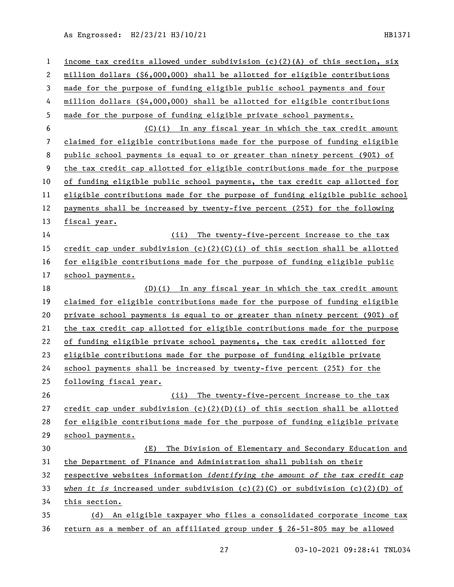| $\mathbf 1$    | income tax credits allowed under subdivision $(c)(2)(A)$ of this section, six       |
|----------------|-------------------------------------------------------------------------------------|
| 2              | million dollars (\$6,000,000) shall be allotted for eligible contributions          |
| 3              | made for the purpose of funding eligible public school payments and four            |
| 4              | million dollars (\$4,000,000) shall be allotted for eligible contributions          |
| 5              | made for the purpose of funding eligible private school payments.                   |
| 6              | (C)(i) In any fiscal year in which the tax credit amount                            |
| $\overline{7}$ | claimed for eligible contributions made for the purpose of funding eligible         |
| 8              | public school payments is equal to or greater than ninety percent (90%) of          |
| 9              | the tax credit cap allotted for eligible contributions made for the purpose         |
| 10             | of funding eligible public school payments, the tax credit cap allotted for         |
| 11             | eligible contributions made for the purpose of funding eligible public school       |
| 12             | payments shall be increased by twenty-five percent (25%) for the following          |
| 13             | fiscal year.                                                                        |
| 14             | (ii)<br>The twenty-five-percent increase to the tax                                 |
| 15             | credit cap under subdivision (c)(2)(C)(i) of this section shall be allotted         |
| 16             | for eligible contributions made for the purpose of funding eligible public          |
| 17             | school payments.                                                                    |
| 18             | (D)(i) In any fiscal year in which the tax credit amount                            |
| 19             | claimed for eligible contributions made for the purpose of funding eligible         |
| 20             | private school payments is equal to or greater than ninety percent (90%) of         |
| 21             | the tax credit cap allotted for eligible contributions made for the purpose         |
| 22             | of funding eligible private school payments, the tax credit allotted for            |
| 23             | eligible contributions made for the purpose of funding eligible private             |
| 24             | school payments shall be increased by twenty-five percent (25%) for the             |
| 25             | following fiscal year.                                                              |
| 26             | (ii) The twenty-five-percent increase to the tax                                    |
| 27             | credit cap under subdivision (c)(2)(D)(i) of this section shall be allotted         |
| 28             | for eligible contributions made for the purpose of funding eligible private         |
| 29             | school payments.                                                                    |
| 30             | The Division of Elementary and Secondary Education and<br>(E)                       |
| 31             | the Department of Finance and Administration shall publish on their                 |
| 32             | respective websites information <i>identifying the amount of the tax credit cap</i> |
| 33             | when it is increased under subdivision $(c)(2)(C)$ or subdivision $(c)(2)(D)$ of    |
| 34             | this section.                                                                       |
| 35             | (d) An eligible taxpayer who files a consolidated corporate income tax              |
| 36             | return as a member of an affiliated group under § 26-51-805 may be allowed          |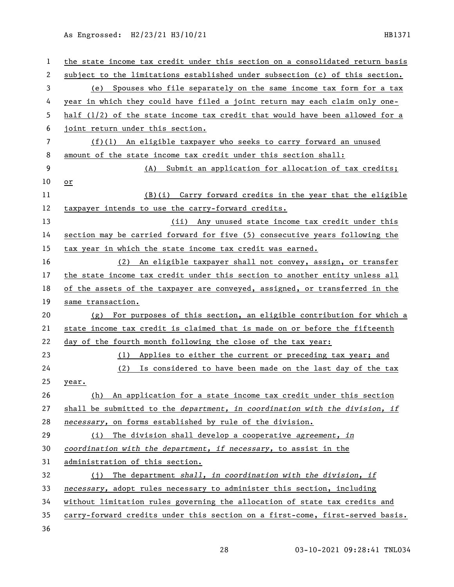| $\mathbf{1}$ | the state income tax credit under this section on a consolidated return basis |
|--------------|-------------------------------------------------------------------------------|
| 2            | subject to the limitations established under subsection (c) of this section.  |
| 3            | Spouses who file separately on the same income tax form for a tax<br>(e)      |
| 4            | year in which they could have filed a joint return may each claim only one-   |
| 5            | half (1/2) of the state income tax credit that would have been allowed for a  |
| 6            | joint return under this section.                                              |
| 7            | $(f)(1)$ An eligible taxpayer who seeks to carry forward an unused            |
| 8            | amount of the state income tax credit under this section shall:               |
| 9            | (A) Submit an application for allocation of tax credits;                      |
| 10           | or                                                                            |
| 11           | $(B)(i)$ Carry forward credits in the year that the eligible                  |
| 12           | taxpayer intends to use the carry-forward credits.                            |
| 13           | (ii) Any unused state income tax credit under this                            |
| 14           | section may be carried forward for five (5) consecutive years following the   |
| 15           | tax year in which the state income tax credit was earned.                     |
| 16           | (2) An eligible taxpayer shall not convey, assign, or transfer                |
| 17           | the state income tax credit under this section to another entity unless all   |
| 18           | of the assets of the taxpayer are conveyed, assigned, or transferred in the   |
| 19           | same transaction.                                                             |
| 20           | (g) For purposes of this section, an eligible contribution for which a        |
| 21           | state income tax credit is claimed that is made on or before the fifteenth    |
| 22           | day of the fourth month following the close of the tax year:                  |
| 23           | Applies to either the current or preceding tax year; and<br>(1)               |
| 24           | (2) Is considered to have been made on the last day of the tax                |
| 25           | year.                                                                         |
| 26           | (h) An application for a state income tax credit under this section           |
| 27           | shall be submitted to the department, in coordination with the division, if   |
| 28           | necessary, on forms established by rule of the division.                      |
| 29           | (i) The division shall develop a cooperative agreement, in                    |
| 30           | coordination with the department, if necessary, to assist in the              |
| 31           | administration of this section.                                               |
| 32           | The department shall, in coordination with the division, if<br>(i)            |
| 33           | necessary, adopt rules necessary to administer this section, including        |
| 34           | without limitation rules governing the allocation of state tax credits and    |
| 35           | carry-forward credits under this section on a first-come, first-served basis. |
| 36           |                                                                               |